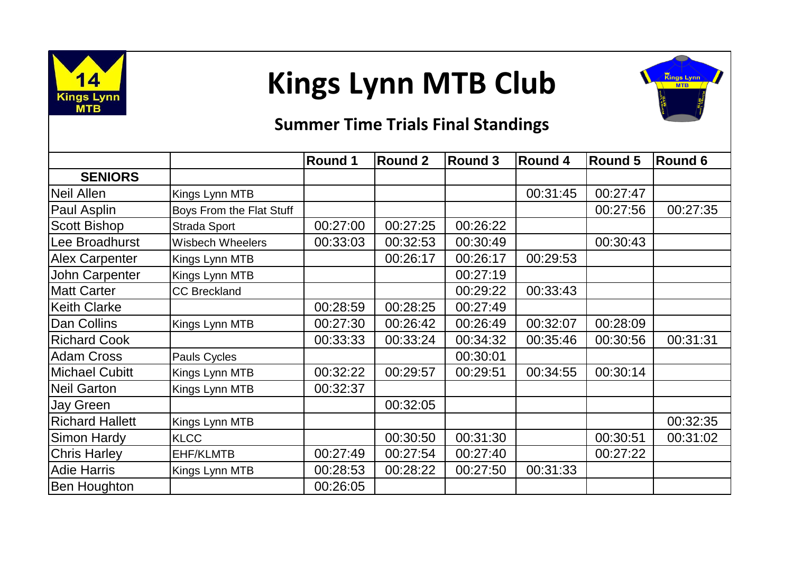

## **Kings Lynn MTB Club**



## **Summer Time Trials Final Standings**

|                        |                          | Round 1  | <b>Round 2</b> | <b>Round 3</b> | <b>Round 4</b> | <b>Round 5</b> | Round 6  |
|------------------------|--------------------------|----------|----------------|----------------|----------------|----------------|----------|
| <b>SENIORS</b>         |                          |          |                |                |                |                |          |
| Neil Allen             | Kings Lynn MTB           |          |                |                | 00:31:45       | 00:27:47       |          |
| Paul Asplin            | Boys From the Flat Stuff |          |                |                |                | 00:27:56       | 00:27:35 |
| <b>Scott Bishop</b>    | Strada Sport             | 00:27:00 | 00:27:25       | 00:26:22       |                |                |          |
| Lee Broadhurst         | <b>Wisbech Wheelers</b>  | 00:33:03 | 00:32:53       | 00:30:49       |                | 00:30:43       |          |
| <b>Alex Carpenter</b>  | Kings Lynn MTB           |          | 00:26:17       | 00:26:17       | 00:29:53       |                |          |
| <b>John Carpenter</b>  | Kings Lynn MTB           |          |                | 00:27:19       |                |                |          |
| <b>Matt Carter</b>     | <b>CC Breckland</b>      |          |                | 00:29:22       | 00:33:43       |                |          |
| <b>Keith Clarke</b>    |                          | 00:28:59 | 00:28:25       | 00:27:49       |                |                |          |
| Dan Collins            | Kings Lynn MTB           | 00:27:30 | 00:26:42       | 00:26:49       | 00:32:07       | 00:28:09       |          |
| <b>Richard Cook</b>    |                          | 00:33:33 | 00:33:24       | 00:34:32       | 00:35:46       | 00:30:56       | 00:31:31 |
| <b>Adam Cross</b>      | Pauls Cycles             |          |                | 00:30:01       |                |                |          |
| <b>Michael Cubitt</b>  | Kings Lynn MTB           | 00:32:22 | 00:29:57       | 00:29:51       | 00:34:55       | 00:30:14       |          |
| <b>Neil Garton</b>     | Kings Lynn MTB           | 00:32:37 |                |                |                |                |          |
| <b>Jay Green</b>       |                          |          | 00:32:05       |                |                |                |          |
| <b>Richard Hallett</b> | Kings Lynn MTB           |          |                |                |                |                | 00:32:35 |
| <b>Simon Hardy</b>     | <b>KLCC</b>              |          | 00:30:50       | 00:31:30       |                | 00:30:51       | 00:31:02 |
| <b>Chris Harley</b>    | <b>EHF/KLMTB</b>         | 00:27:49 | 00:27:54       | 00:27:40       |                | 00:27:22       |          |
| <b>Adie Harris</b>     | Kings Lynn MTB           | 00:28:53 | 00:28:22       | 00:27:50       | 00:31:33       |                |          |
| <b>Ben Houghton</b>    |                          | 00:26:05 |                |                |                |                |          |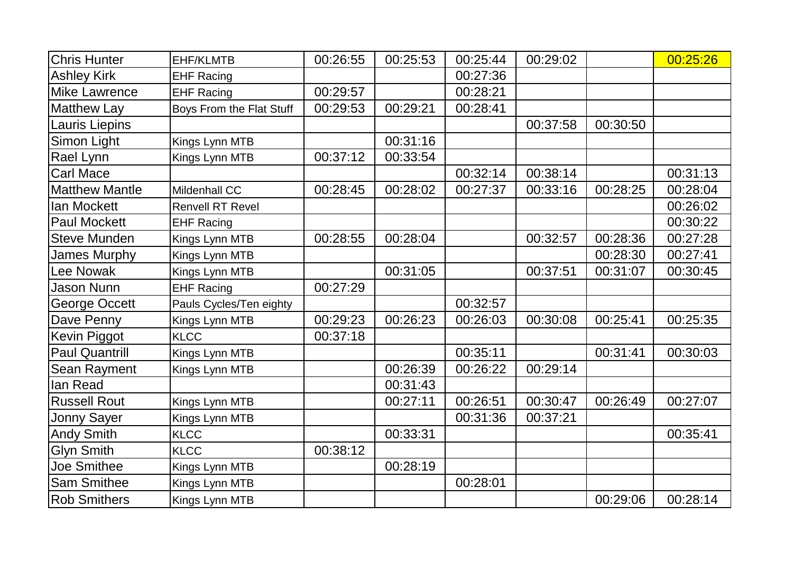| <b>Chris Hunter</b>   | <b>EHF/KLMTB</b>         | 00:26:55 | 00:25:53 | 00:25:44 | 00:29:02 |          | 00:25:26 |
|-----------------------|--------------------------|----------|----------|----------|----------|----------|----------|
| <b>Ashley Kirk</b>    | <b>EHF Racing</b>        |          |          | 00:27:36 |          |          |          |
| <b>Mike Lawrence</b>  | <b>EHF Racing</b>        | 00:29:57 |          | 00:28:21 |          |          |          |
| <b>Matthew Lay</b>    | Boys From the Flat Stuff | 00:29:53 | 00:29:21 | 00:28:41 |          |          |          |
| Lauris Liepins        |                          |          |          |          | 00:37:58 | 00:30:50 |          |
| Simon Light           | Kings Lynn MTB           |          | 00:31:16 |          |          |          |          |
| Rael Lynn             | Kings Lynn MTB           | 00:37:12 | 00:33:54 |          |          |          |          |
| <b>Carl Mace</b>      |                          |          |          | 00:32:14 | 00:38:14 |          | 00:31:13 |
| <b>Matthew Mantle</b> | Mildenhall CC            | 00:28:45 | 00:28:02 | 00:27:37 | 00:33:16 | 00:28:25 | 00:28:04 |
| <b>lan Mockett</b>    | <b>Renvell RT Revel</b>  |          |          |          |          |          | 00:26:02 |
| <b>Paul Mockett</b>   | <b>EHF Racing</b>        |          |          |          |          |          | 00:30:22 |
| <b>Steve Munden</b>   | Kings Lynn MTB           | 00:28:55 | 00:28:04 |          | 00:32:57 | 00:28:36 | 00:27:28 |
| <b>James Murphy</b>   | Kings Lynn MTB           |          |          |          |          | 00:28:30 | 00:27:41 |
| Lee Nowak             | Kings Lynn MTB           |          | 00:31:05 |          | 00:37:51 | 00:31:07 | 00:30:45 |
| <b>Jason Nunn</b>     | <b>EHF Racing</b>        | 00:27:29 |          |          |          |          |          |
| George Occett         | Pauls Cycles/Ten eighty  |          |          | 00:32:57 |          |          |          |
| Dave Penny            | Kings Lynn MTB           | 00:29:23 | 00:26:23 | 00:26:03 | 00:30:08 | 00:25:41 | 00:25:35 |
| Kevin Piggot          | <b>KLCC</b>              | 00:37:18 |          |          |          |          |          |
| <b>Paul Quantrill</b> | Kings Lynn MTB           |          |          | 00:35:11 |          | 00:31:41 | 00:30:03 |
| Sean Rayment          | Kings Lynn MTB           |          | 00:26:39 | 00:26:22 | 00:29:14 |          |          |
| lan Read              |                          |          | 00:31:43 |          |          |          |          |
| <b>Russell Rout</b>   | Kings Lynn MTB           |          | 00:27:11 | 00:26:51 | 00:30:47 | 00:26:49 | 00:27:07 |
| Jonny Sayer           | Kings Lynn MTB           |          |          | 00:31:36 | 00:37:21 |          |          |
| <b>Andy Smith</b>     | <b>KLCC</b>              |          | 00:33:31 |          |          |          | 00:35:41 |
| <b>Glyn Smith</b>     | <b>KLCC</b>              | 00:38:12 |          |          |          |          |          |
| <b>Joe Smithee</b>    | Kings Lynn MTB           |          | 00:28:19 |          |          |          |          |
| <b>Sam Smithee</b>    | Kings Lynn MTB           |          |          | 00:28:01 |          |          |          |
| <b>Rob Smithers</b>   | Kings Lynn MTB           |          |          |          |          | 00:29:06 | 00:28:14 |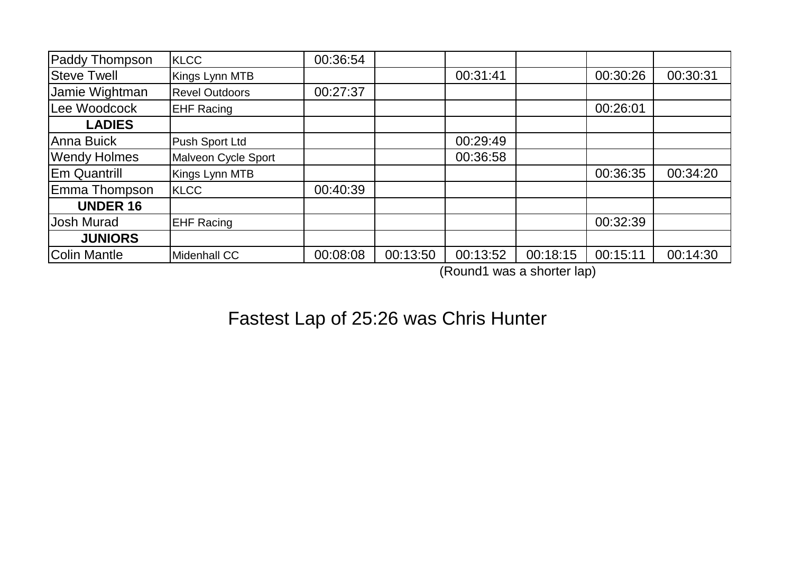| Paddy Thompson      | <b>KLCC</b>           | 00:36:54 |          |          |          |          |          |
|---------------------|-----------------------|----------|----------|----------|----------|----------|----------|
| <b>Steve Twell</b>  | Kings Lynn MTB        |          |          | 00:31:41 |          | 00:30:26 | 00:30:31 |
| Jamie Wightman      | <b>Revel Outdoors</b> | 00:27:37 |          |          |          |          |          |
| Lee Woodcock        | <b>EHF Racing</b>     |          |          |          |          | 00:26:01 |          |
| <b>LADIES</b>       |                       |          |          |          |          |          |          |
| Anna Buick          | Push Sport Ltd        |          |          | 00:29:49 |          |          |          |
| <b>Wendy Holmes</b> | Malveon Cycle Sport   |          |          | 00:36:58 |          |          |          |
| <b>Em Quantrill</b> | Kings Lynn MTB        |          |          |          |          | 00:36:35 | 00:34:20 |
| Emma Thompson       | <b>KLCC</b>           | 00:40:39 |          |          |          |          |          |
| <b>UNDER 16</b>     |                       |          |          |          |          |          |          |
| <b>Josh Murad</b>   | <b>EHF Racing</b>     |          |          |          |          | 00:32:39 |          |
| <b>JUNIORS</b>      |                       |          |          |          |          |          |          |
| Colin Mantle        | Midenhall CC          | 00:08:08 | 00:13:50 | 00:13:52 | 00:18:15 | 00:15:11 | 00:14:30 |

(Round1 was a shorter lap)

## Fastest Lap of 25:26 was Chris Hunter